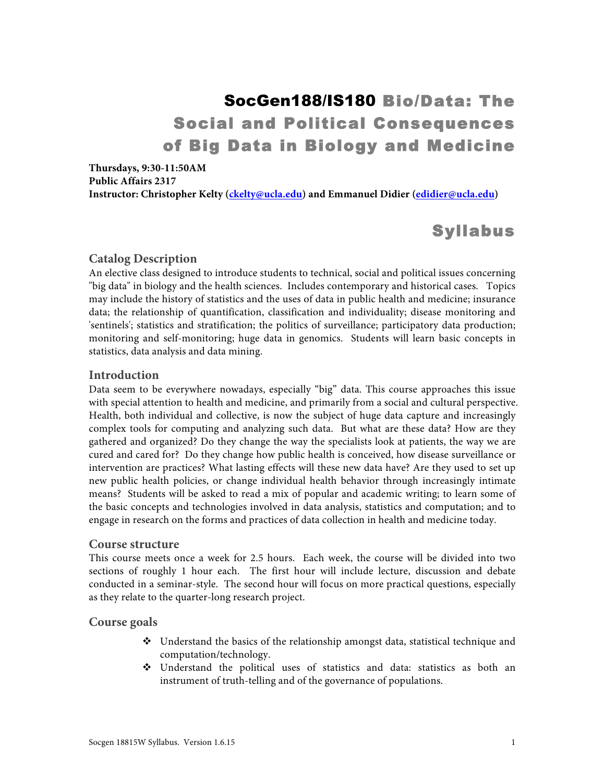# SocGen188/IS180 Bio/Data: The Social and Political Consequences of Big Data in Biology and Medicine

**Thursdays, 9:30-11:50AM Public Affairs 2317 Instructor: Christopher Kelty (ckelty@ucla.edu) and Emmanuel Didier (edidier@ucla.edu)**

## Syllabus

### **Catalog Description**

An elective class designed to introduce students to technical, social and political issues concerning "big data" in biology and the health sciences. Includes contemporary and historical cases. Topics may include the history of statistics and the uses of data in public health and medicine; insurance data; the relationship of quantification, classification and individuality; disease monitoring and 'sentinels'; statistics and stratification; the politics of surveillance; participatory data production; monitoring and self-monitoring; huge data in genomics. Students will learn basic concepts in statistics, data analysis and data mining.

#### **Introduction**

Data seem to be everywhere nowadays, especially "big" data. This course approaches this issue with special attention to health and medicine, and primarily from a social and cultural perspective. Health, both individual and collective, is now the subject of huge data capture and increasingly complex tools for computing and analyzing such data. But what are these data? How are they gathered and organized? Do they change the way the specialists look at patients, the way we are cured and cared for? Do they change how public health is conceived, how disease surveillance or intervention are practices? What lasting effects will these new data have? Are they used to set up new public health policies, or change individual health behavior through increasingly intimate means? Students will be asked to read a mix of popular and academic writing; to learn some of the basic concepts and technologies involved in data analysis, statistics and computation; and to engage in research on the forms and practices of data collection in health and medicine today.

#### **Course structure**

This course meets once a week for 2.5 hours. Each week, the course will be divided into two sections of roughly 1 hour each. The first hour will include lecture, discussion and debate conducted in a seminar-style. The second hour will focus on more practical questions, especially as they relate to the quarter-long research project.

#### **Course goals**

- $\bullet$  Understand the basics of the relationship amongst data, statistical technique and computation/technology.
- $\div$  Understand the political uses of statistics and data: statistics as both an instrument of truth-telling and of the governance of populations.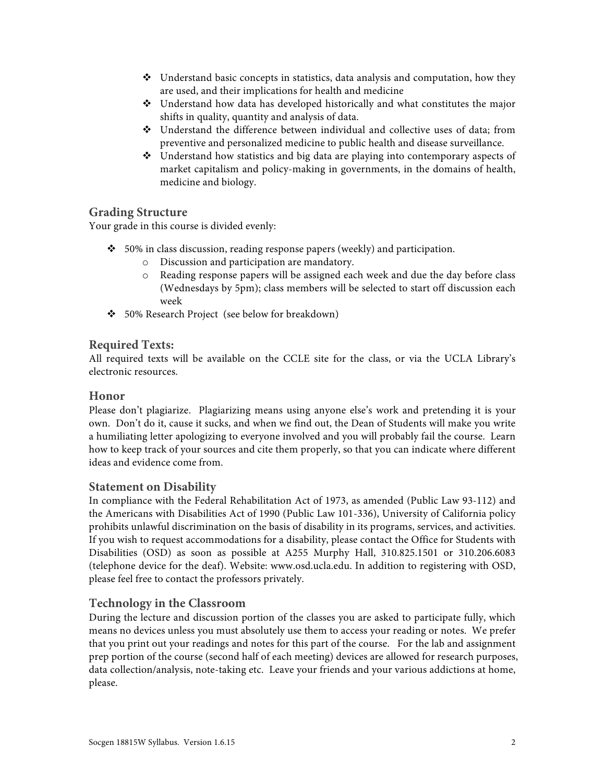- $\triangle$  Understand basic concepts in statistics, data analysis and computation, how they are used, and their implications for health and medicine
- $\cdot$  Understand how data has developed historically and what constitutes the major shifts in quality, quantity and analysis of data.
- $\div$  Understand the difference between individual and collective uses of data; from preventive and personalized medicine to public health and disease surveillance.
- $\div$  Understand how statistics and big data are playing into contemporary aspects of market capitalism and policy-making in governments, in the domains of health, medicine and biology.

## **Grading Structure**

Your grade in this course is divided evenly:

- $\div$  50% in class discussion, reading response papers (weekly) and participation.
	- o Discussion and participation are mandatory.
	- o Reading response papers will be assigned each week and due the day before class (Wednesdays by 5pm); class members will be selected to start off discussion each week
- v 50% Research Project (see below for breakdown)

## **Required Texts:**

All required texts will be available on the CCLE site for the class, or via the UCLA Library's electronic resources.

## **Honor**

Please don't plagiarize. Plagiarizing means using anyone else's work and pretending it is your own. Don't do it, cause it sucks, and when we find out, the Dean of Students will make you write a humiliating letter apologizing to everyone involved and you will probably fail the course. Learn how to keep track of your sources and cite them properly, so that you can indicate where different ideas and evidence come from.

## **Statement on Disability**

In compliance with the Federal Rehabilitation Act of 1973, as amended (Public Law 93-112) and the Americans with Disabilities Act of 1990 (Public Law 101-336), University of California policy prohibits unlawful discrimination on the basis of disability in its programs, services, and activities. If you wish to request accommodations for a disability, please contact the Office for Students with Disabilities (OSD) as soon as possible at A255 Murphy Hall, 310.825.1501 or 310.206.6083 (telephone device for the deaf). Website: www.osd.ucla.edu. In addition to registering with OSD, please feel free to contact the professors privately.

## **Technology in the Classroom**

During the lecture and discussion portion of the classes you are asked to participate fully, which means no devices unless you must absolutely use them to access your reading or notes. We prefer that you print out your readings and notes for this part of the course. For the lab and assignment prep portion of the course (second half of each meeting) devices are allowed for research purposes, data collection/analysis, note-taking etc. Leave your friends and your various addictions at home, please.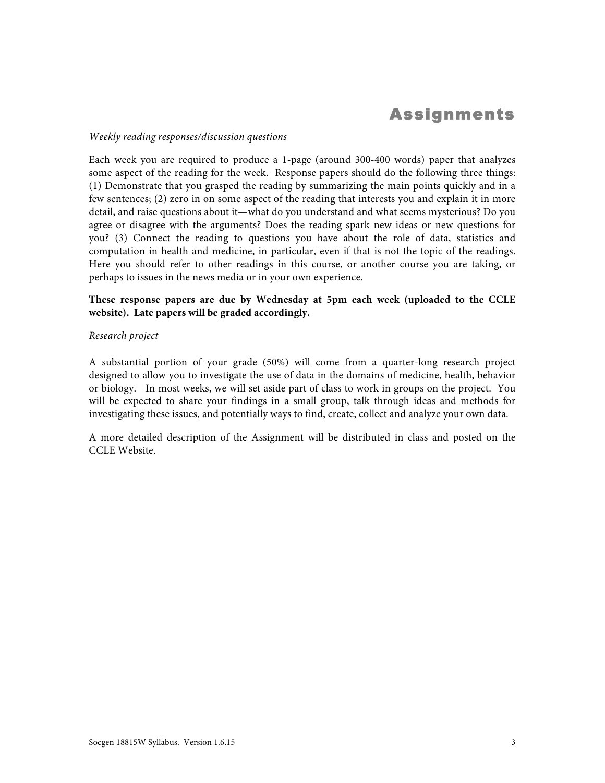## Assignments

#### *Weekly reading responses/discussion questions*

Each week you are required to produce a 1-page (around 300-400 words) paper that analyzes some aspect of the reading for the week. Response papers should do the following three things: (1) Demonstrate that you grasped the reading by summarizing the main points quickly and in a few sentences; (2) zero in on some aspect of the reading that interests you and explain it in more detail, and raise questions about it—what do you understand and what seems mysterious? Do you agree or disagree with the arguments? Does the reading spark new ideas or new questions for you? (3) Connect the reading to questions you have about the role of data, statistics and computation in health and medicine, in particular, even if that is not the topic of the readings. Here you should refer to other readings in this course, or another course you are taking, or perhaps to issues in the news media or in your own experience.

#### **These response papers are due by Wednesday at 5pm each week (uploaded to the CCLE website). Late papers will be graded accordingly.**

#### *Research project*

A substantial portion of your grade (50%) will come from a quarter-long research project designed to allow you to investigate the use of data in the domains of medicine, health, behavior or biology. In most weeks, we will set aside part of class to work in groups on the project. You will be expected to share your findings in a small group, talk through ideas and methods for investigating these issues, and potentially ways to find, create, collect and analyze your own data.

A more detailed description of the Assignment will be distributed in class and posted on the CCLE Website.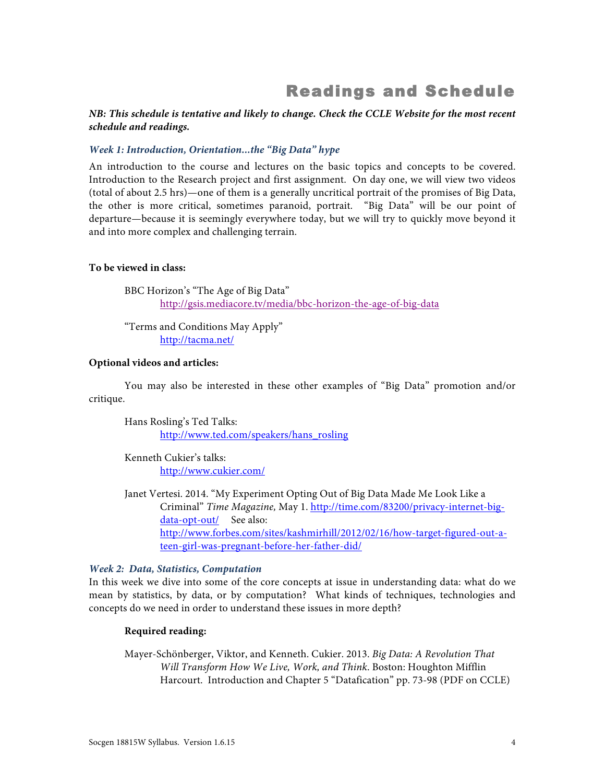## Readings and Schedule

#### *NB: This schedule is tentative and likely to change. Check the CCLE Website for the most recent schedule and readings.*

#### *Week 1: Introduction, Orientation...the "Big Data" hype*

An introduction to the course and lectures on the basic topics and concepts to be covered. Introduction to the Research project and first assignment. On day one, we will view two videos (total of about 2.5 hrs)—one of them is a generally uncritical portrait of the promises of Big Data, the other is more critical, sometimes paranoid, portrait. "Big Data" will be our point of departure—because it is seemingly everywhere today, but we will try to quickly move beyond it and into more complex and challenging terrain.

#### **To be viewed in class:**

BBC Horizon's "The Age of Big Data" http://gsis.mediacore.tv/media/bbc-horizon-the-age-of-big-data

"Terms and Conditions May Apply" http://tacma.net/

#### **Optional videos and articles:**

You may also be interested in these other examples of "Big Data" promotion and/or critique.

Hans Rosling's Ted Talks: http://www.ted.com/speakers/hans\_rosling

Kenneth Cukier's talks: http://www.cukier.com/

Janet Vertesi. 2014. "My Experiment Opting Out of Big Data Made Me Look Like a Criminal" *Time Magazine,* May 1. http://time.com/83200/privacy-internet-bigdata-opt-out/ See also: http://www.forbes.com/sites/kashmirhill/2012/02/16/how-target-figured-out-ateen-girl-was-pregnant-before-her-father-did/

#### *Week 2: Data, Statistics, Computation*

In this week we dive into some of the core concepts at issue in understanding data: what do we mean by statistics, by data, or by computation? What kinds of techniques, technologies and concepts do we need in order to understand these issues in more depth?

#### **Required reading:**

Mayer-Schönberger, Viktor, and Kenneth. Cukier. 2013. *Big Data: A Revolution That Will Transform How We Live, Work, and Think*. Boston: Houghton Mifflin Harcourt. Introduction and Chapter 5 "Datafication" pp. 73-98 (PDF on CCLE)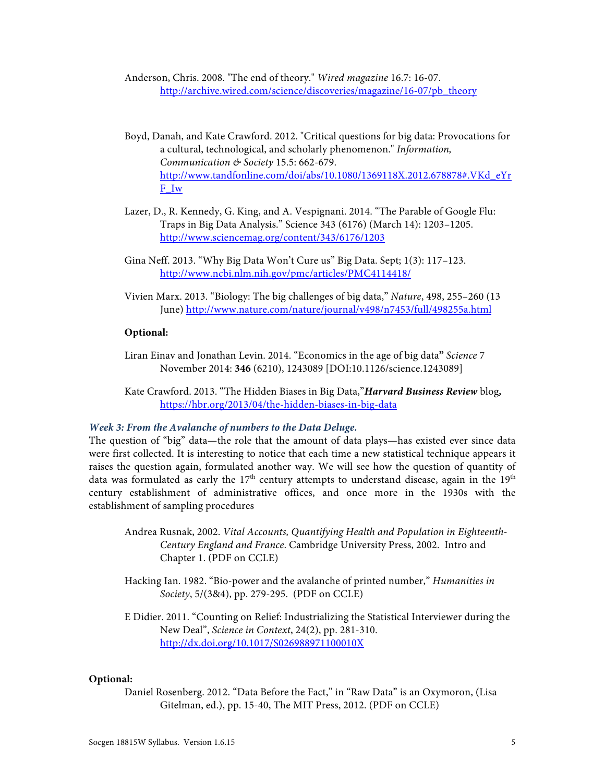Anderson, Chris. 2008. "The end of theory." *Wired magazine* 16.7: 16-07. http://archive.wired.com/science/discoveries/magazine/16-07/pb\_theory

- Boyd, Danah, and Kate Crawford. 2012. "Critical questions for big data: Provocations for a cultural, technological, and scholarly phenomenon." *Information, Communication & Society* 15.5: 662-679. http://www.tandfonline.com/doi/abs/10.1080/1369118X.2012.678878#.VKd\_eYr F\_Iw
- Lazer, D., R. Kennedy, G. King, and A. Vespignani. 2014. "The Parable of Google Flu: Traps in Big Data Analysis." Science 343 (6176) (March 14): 1203–1205. http://www.sciencemag.org/content/343/6176/1203
- Gina Neff. 2013. "Why Big Data Won't Cure us" Big Data. Sept; 1(3): 117–123. http://www.ncbi.nlm.nih.gov/pmc/articles/PMC4114418/
- Vivien Marx. 2013. "Biology: The big challenges of big data," *Nature*, 498, 255–260 (13 June) http://www.nature.com/nature/journal/v498/n7453/full/498255a.html

#### **Optional:**

- Liran Einav and Jonathan Levin. 2014. "Economics in the age of big data**"** *Science* 7 November 2014: **346** (6210), 1243089 [DOI:10.1126/science.1243089]
- Kate Crawford. 2013. "The Hidden Biases in Big Data,"*Harvard Business Review* blog*,*  https://hbr.org/2013/04/the-hidden-biases-in-big-data

#### *Week 3: From the Avalanche of numbers to the Data Deluge.*

The question of "big" data—the role that the amount of data plays—has existed ever since data were first collected. It is interesting to notice that each time a new statistical technique appears it raises the question again, formulated another way. We will see how the question of quantity of data was formulated as early the  $17<sup>th</sup>$  century attempts to understand disease, again in the  $19<sup>th</sup>$ century establishment of administrative offices, and once more in the 1930s with the establishment of sampling procedures

- Andrea Rusnak, 2002. *Vital Accounts, Quantifying Health and Population in Eighteenth-Century England and France*. Cambridge University Press, 2002. Intro and Chapter 1. (PDF on CCLE)
- Hacking Ian. 1982. "Bio-power and the avalanche of printed number," *Humanities in Society*, 5/(3&4), pp. 279-295. (PDF on CCLE)
- E Didier. 2011. "Counting on Relief: Industrializing the Statistical Interviewer during the New Deal", *Science in Context*, 24(2), pp. 281-310. http://dx.doi.org/10.1017/S026988971100010X

#### **Optional:**

Daniel Rosenberg. 2012. "Data Before the Fact," in "Raw Data" is an Oxymoron, (Lisa Gitelman, ed.), pp. 15-40, The MIT Press, 2012. (PDF on CCLE)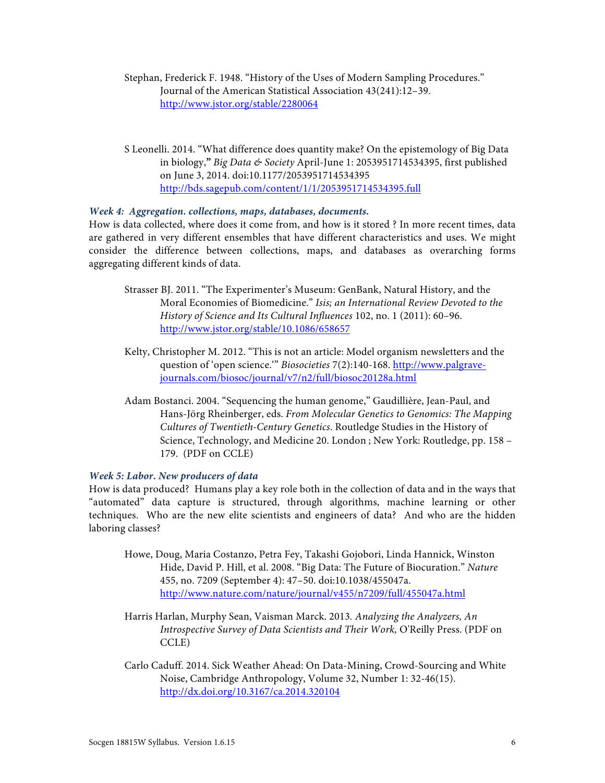Stephan, Frederick F. 1948. "History of the Uses of Modern Sampling Procedures." Journal of the American Statistical Association 43(241):12–39. http://www.jstor.org/stable/2280064

S Leonelli. 2014. "What difference does quantity make? On the epistemology of Big Data in biology,**"** *Big Data & Society* April-June 1: 2053951714534395, first published on June 3, 2014. doi:10.1177/2053951714534395 http://bds.sagepub.com/content/1/1/2053951714534395.full

#### *Week 4: Aggregation. collections, maps, databases, documents.*

How is data collected, where does it come from, and how is it stored ? In more recent times, data are gathered in very different ensembles that have different characteristics and uses. We might consider the difference between collections, maps, and databases as overarching forms aggregating different kinds of data.

- Strasser BJ. 2011. "The Experimenter's Museum: GenBank, Natural History, and the Moral Economies of Biomedicine." *Isis; an International Review Devoted to the History of Science and Its Cultural Influences* 102, no. 1 (2011): 60–96. http://www.jstor.org/stable/10.1086/658657
- Kelty, Christopher M. 2012. "This is not an article: Model organism newsletters and the question of 'open science.'" *Biosocieties* 7(2):140-168. http://www.palgravejournals.com/biosoc/journal/v7/n2/full/biosoc20128a.html
- Adam Bostanci. 2004. "Sequencing the human genome," Gaudillière, Jean-Paul, and Hans-Jörg Rheinberger, eds. *From Molecular Genetics to Genomics: The Mapping Cultures of Twentieth-Century Genetics*. Routledge Studies in the History of Science, Technology, and Medicine 20. London ; New York: Routledge, pp. 158 – 179. (PDF on CCLE)

#### *Week 5: Labor. New producers of data*

How is data produced? Humans play a key role both in the collection of data and in the ways that "automated" data capture is structured, through algorithms, machine learning or other techniques. Who are the new elite scientists and engineers of data? And who are the hidden laboring classes?

- Howe, Doug, Maria Costanzo, Petra Fey, Takashi Gojobori, Linda Hannick, Winston Hide, David P. Hill, et al. 2008. "Big Data: The Future of Biocuration." *Nature* 455, no. 7209 (September 4): 47–50. doi:10.1038/455047a. http://www.nature.com/nature/journal/v455/n7209/full/455047a.html
- Harris Harlan, Murphy Sean, Vaisman Marck. 2013*. Analyzing the Analyzers, An Introspective Survey of Data Scientists and Their Work,* O'Reilly Press. (PDF on CCLE)
- Carlo Caduff. 2014. Sick Weather Ahead: On Data-Mining, Crowd-Sourcing and White Noise, Cambridge Anthropology, Volume 32, Number 1: 32-46(15). http://dx.doi.org/10.3167/ca.2014.320104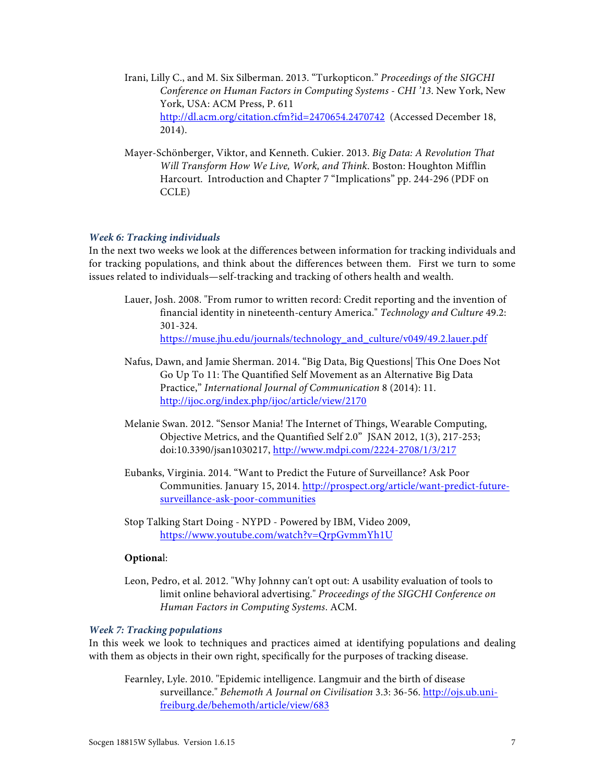- Irani, Lilly C., and M. Six Silberman. 2013. "Turkopticon." *Proceedings of the SIGCHI Conference on Human Factors in Computing Systems - CHI '13*. New York, New York, USA: ACM Press, P. 611 http://dl.acm.org/citation.cfm?id=2470654.2470742 (Accessed December 18, 2014).
- Mayer-Schönberger, Viktor, and Kenneth. Cukier. 2013. *Big Data: A Revolution That Will Transform How We Live, Work, and Think*. Boston: Houghton Mifflin Harcourt. Introduction and Chapter 7 "Implications" pp. 244-296 (PDF on CCLE)

#### *Week 6: Tracking individuals*

In the next two weeks we look at the differences between information for tracking individuals and for tracking populations, and think about the differences between them. First we turn to some issues related to individuals—self-tracking and tracking of others health and wealth.

- Lauer, Josh. 2008. "From rumor to written record: Credit reporting and the invention of financial identity in nineteenth-century America." *Technology and Culture* 49.2: 301-324. https://muse.jhu.edu/journals/technology\_and\_culture/v049/49.2.lauer.pdf
- Nafus, Dawn, and Jamie Sherman. 2014. "Big Data, Big Questions| This One Does Not Go Up To 11: The Quantified Self Movement as an Alternative Big Data Practice," *International Journal of Communication* 8 (2014): 11. http://ijoc.org/index.php/ijoc/article/view/2170
- Melanie Swan. 2012. "Sensor Mania! The Internet of Things, Wearable Computing, Objective Metrics, and the Quantified Self 2.0" JSAN 2012, 1(3), 217-253; doi:10.3390/jsan1030217, http://www.mdpi.com/2224-2708/1/3/217
- Eubanks, Virginia. 2014. "Want to Predict the Future of Surveillance? Ask Poor Communities. January 15, 2014. http://prospect.org/article/want-predict-futuresurveillance-ask-poor-communities
- Stop Talking Start Doing NYPD Powered by IBM, Video 2009, https://www.youtube.com/watch?v=QrpGvmmYh1U

#### **Optiona**l:

Leon, Pedro, et al. 2012. "Why Johnny can't opt out: A usability evaluation of tools to limit online behavioral advertising." *Proceedings of the SIGCHI Conference on Human Factors in Computing Systems*. ACM.

#### *Week 7: Tracking populations*

In this week we look to techniques and practices aimed at identifying populations and dealing with them as objects in their own right, specifically for the purposes of tracking disease.

Fearnley, Lyle. 2010. "Epidemic intelligence. Langmuir and the birth of disease surveillance." *Behemoth A Journal on Civilisation* 3.3: 36-56. http://ojs.ub.unifreiburg.de/behemoth/article/view/683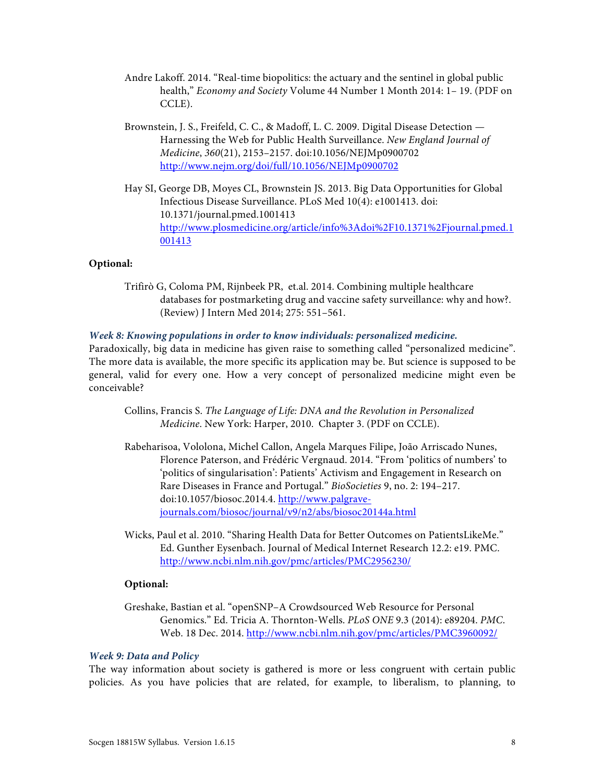- Andre Lakoff. 2014. "Real-time biopolitics: the actuary and the sentinel in global public health," *Economy and Society* Volume 44 Number 1 Month 2014: 1– 19. (PDF on CCLE).
- Brownstein, J. S., Freifeld, C. C., & Madoff, L. C. 2009. Digital Disease Detection Harnessing the Web for Public Health Surveillance. *New England Journal of Medicine*, *360*(21), 2153–2157. doi:10.1056/NEJMp0900702 http://www.nejm.org/doi/full/10.1056/NEJMp0900702
- Hay SI, George DB, Moyes CL, Brownstein JS. 2013. Big Data Opportunities for Global Infectious Disease Surveillance. PLoS Med 10(4): e1001413. doi: 10.1371/journal.pmed.1001413 http://www.plosmedicine.org/article/info%3Adoi%2F10.1371%2Fjournal.pmed.1 001413

#### **Optional:**

Trifirò G, Coloma PM, Rijnbeek PR, et.al. 2014. Combining multiple healthcare databases for postmarketing drug and vaccine safety surveillance: why and how?. (Review) J Intern Med 2014; 275: 551–561.

#### *Week 8: Knowing populations in order to know individuals: personalized medicine.*

Paradoxically, big data in medicine has given raise to something called "personalized medicine". The more data is available, the more specific its application may be. But science is supposed to be general, valid for every one. How a very concept of personalized medicine might even be conceivable?

- Collins, Francis S. *The Language of Life: DNA and the Revolution in Personalized Medicine*. New York: Harper, 2010. Chapter 3. (PDF on CCLE).
- Rabeharisoa, Vololona, Michel Callon, Angela Marques Filipe, João Arriscado Nunes, Florence Paterson, and Frédéric Vergnaud. 2014. "From 'politics of numbers' to 'politics of singularisation': Patients' Activism and Engagement in Research on Rare Diseases in France and Portugal." *BioSocieties* 9, no. 2: 194–217. doi:10.1057/biosoc.2014.4. http://www.palgravejournals.com/biosoc/journal/v9/n2/abs/biosoc20144a.html
- Wicks, Paul et al. 2010. "Sharing Health Data for Better Outcomes on PatientsLikeMe." Ed. Gunther Eysenbach. Journal of Medical Internet Research 12.2: e19. PMC. http://www.ncbi.nlm.nih.gov/pmc/articles/PMC2956230/

#### **Optional:**

Greshake, Bastian et al. "openSNP–A Crowdsourced Web Resource for Personal Genomics." Ed. Tricia A. Thornton-Wells. *PLoS ONE* 9.3 (2014): e89204. *PMC*. Web. 18 Dec. 2014. http://www.ncbi.nlm.nih.gov/pmc/articles/PMC3960092/

#### *Week 9: Data and Policy*

The way information about society is gathered is more or less congruent with certain public policies. As you have policies that are related, for example, to liberalism, to planning, to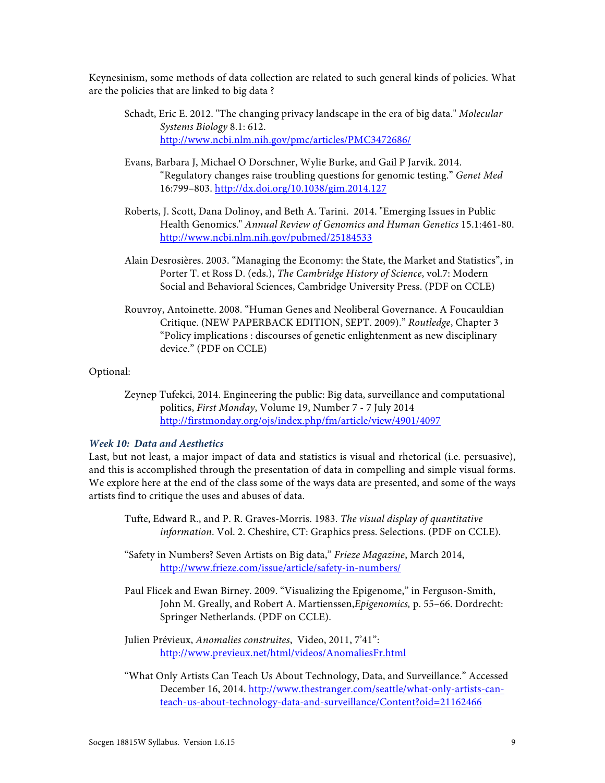Keynesinism, some methods of data collection are related to such general kinds of policies. What are the policies that are linked to big data ?

- Schadt, Eric E. 2012. "The changing privacy landscape in the era of big data." *Molecular Systems Biology* 8.1: 612. http://www.ncbi.nlm.nih.gov/pmc/articles/PMC3472686/
- Evans, Barbara J, Michael O Dorschner, Wylie Burke, and Gail P Jarvik. 2014. "Regulatory changes raise troubling questions for genomic testing." *Genet Med* 16:799–803. http://dx.doi.org/10.1038/gim.2014.127
- Roberts, J. Scott, Dana Dolinoy, and Beth A. Tarini. 2014. "Emerging Issues in Public Health Genomics." *Annual Review of Genomics and Human Genetics* 15.1:461-80. http://www.ncbi.nlm.nih.gov/pubmed/25184533
- Alain Desrosières. 2003. "Managing the Economy: the State, the Market and Statistics", in Porter T. et Ross D. (eds.), *The Cambridge History of Science*, vol.7: Modern Social and Behavioral Sciences, Cambridge University Press. (PDF on CCLE)
- Rouvroy, Antoinette. 2008. "Human Genes and Neoliberal Governance. A Foucauldian Critique. (NEW PAPERBACK EDITION, SEPT. 2009)." *Routledge*, Chapter 3 "Policy implications : discourses of genetic enlightenment as new disciplinary device." (PDF on CCLE)

#### Optional:

Zeynep Tufekci, 2014. Engineering the public: Big data, surveillance and computational politics, *First Monday*, Volume 19, Number 7 - 7 July 2014 http://firstmonday.org/ojs/index.php/fm/article/view/4901/4097

#### *Week 10: Data and Aesthetics*

Last, but not least, a major impact of data and statistics is visual and rhetorical (i.e. persuasive), and this is accomplished through the presentation of data in compelling and simple visual forms. We explore here at the end of the class some of the ways data are presented, and some of the ways artists find to critique the uses and abuses of data.

- Tufte, Edward R., and P. R. Graves-Morris. 1983. *The visual display of quantitative information*. Vol. 2. Cheshire, CT: Graphics press. Selections. (PDF on CCLE).
- "Safety in Numbers? Seven Artists on Big data," *Frieze Magazine*, March 2014, http://www.frieze.com/issue/article/safety-in-numbers/
- Paul Flicek and Ewan Birney. 2009. "Visualizing the Epigenome," in Ferguson-Smith, John M. Greally, and Robert A. Martienssen,*Epigenomics,* p. 55–66. Dordrecht: Springer Netherlands. (PDF on CCLE).

Julien Prévieux, *Anomalies construites*, Video, 2011, 7'41": http://www.previeux.net/html/videos/AnomaliesFr.html

"What Only Artists Can Teach Us About Technology, Data, and Surveillance." Accessed December 16, 2014. http://www.thestranger.com/seattle/what-only-artists-canteach-us-about-technology-data-and-surveillance/Content?oid=21162466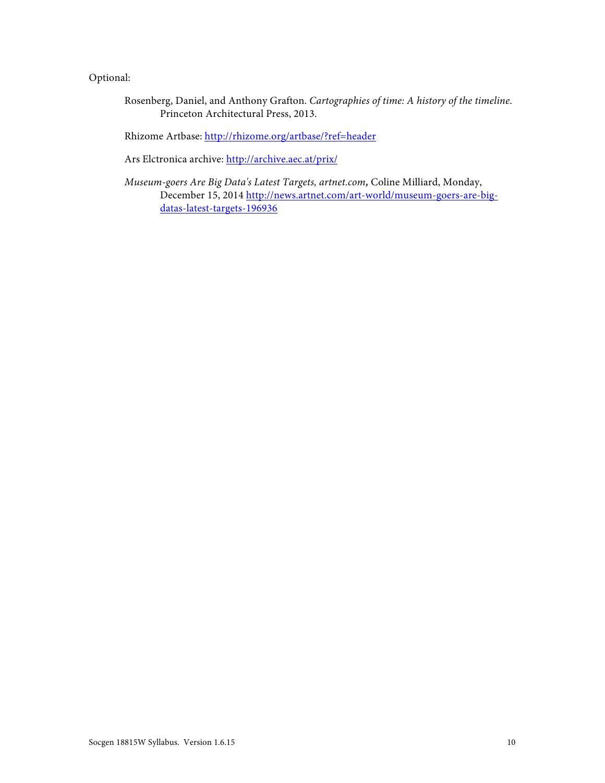### Optional:

Rosenberg, Daniel, and Anthony Grafton. *Cartographies of time: A history of the timeline*. Princeton Architectural Press, 2013.

Rhizome Artbase: http://rhizome.org/artbase/?ref=header

Ars Elctronica archive: http://archive.aec.at/prix/

*Museum-goers Are Big Data's Latest Targets, artnet.com,* Coline Milliard, Monday, December 15, 2014 http://news.artnet.com/art-world/museum-goers-are-bigdatas-latest-targets-196936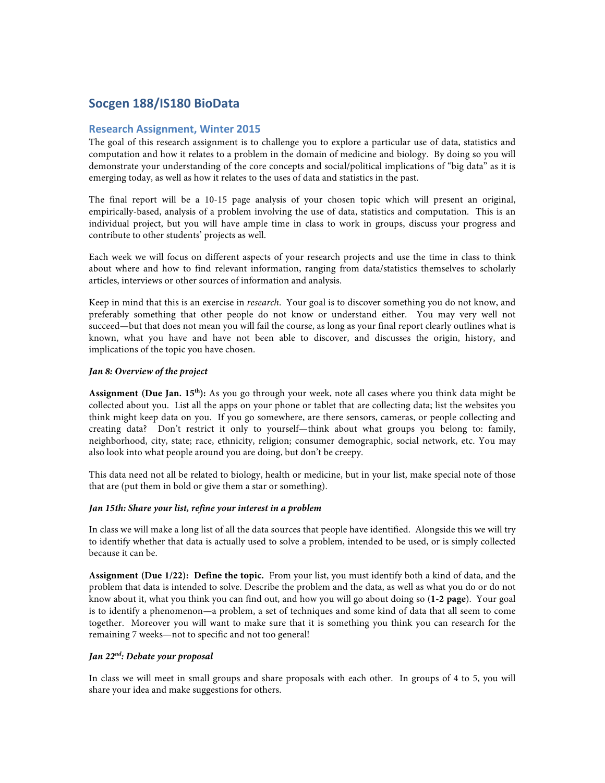### **Socgen 188/IS180 BioData**

#### **Research Assignment, Winter 2015**

The goal of this research assignment is to challenge you to explore a particular use of data, statistics and computation and how it relates to a problem in the domain of medicine and biology. By doing so you will demonstrate your understanding of the core concepts and social/political implications of "big data" as it is emerging today, as well as how it relates to the uses of data and statistics in the past.

The final report will be a 10-15 page analysis of your chosen topic which will present an original, empirically-based, analysis of a problem involving the use of data, statistics and computation. This is an individual project, but you will have ample time in class to work in groups, discuss your progress and contribute to other students' projects as well.

Each week we will focus on different aspects of your research projects and use the time in class to think about where and how to find relevant information, ranging from data/statistics themselves to scholarly articles, interviews or other sources of information and analysis.

Keep in mind that this is an exercise in *research*. Your goal is to discover something you do not know, and preferably something that other people do not know or understand either. You may very well not succeed—but that does not mean you will fail the course, as long as your final report clearly outlines what is known, what you have and have not been able to discover, and discusses the origin, history, and implications of the topic you have chosen.

#### *Jan 8: Overview of the project*

**Assignment (Due Jan. 15th):** As you go through your week, note all cases where you think data might be collected about you. List all the apps on your phone or tablet that are collecting data; list the websites you think might keep data on you. If you go somewhere, are there sensors, cameras, or people collecting and creating data? Don't restrict it only to yourself—think about what groups you belong to: family, neighborhood, city, state; race, ethnicity, religion; consumer demographic, social network, etc. You may also look into what people around you are doing, but don't be creepy.

This data need not all be related to biology, health or medicine, but in your list, make special note of those that are (put them in bold or give them a star or something).

#### *Jan 15th: Share your list, refine your interest in a problem*

In class we will make a long list of all the data sources that people have identified. Alongside this we will try to identify whether that data is actually used to solve a problem, intended to be used, or is simply collected because it can be.

**Assignment (Due 1/22): Define the topic.** From your list, you must identify both a kind of data, and the problem that data is intended to solve. Describe the problem and the data, as well as what you do or do not know about it, what you think you can find out, and how you will go about doing so (**1-2 page**). Your goal is to identify a phenomenon—a problem, a set of techniques and some kind of data that all seem to come together. Moreover you will want to make sure that it is something you think you can research for the remaining 7 weeks—not to specific and not too general!

#### *Jan 22nd: Debate your proposal*

In class we will meet in small groups and share proposals with each other. In groups of 4 to 5, you will share your idea and make suggestions for others.